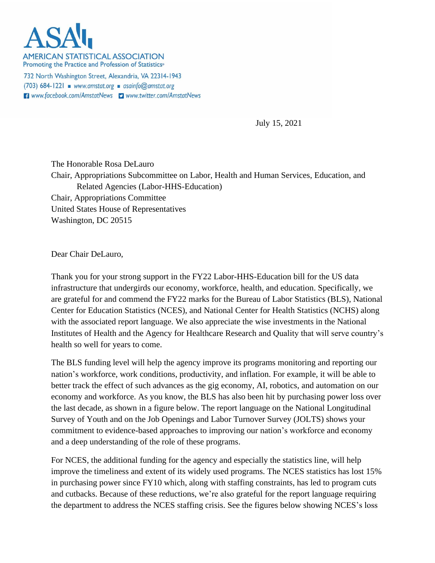

**AMERICAN STATISTICAL ASSOCIATION** Promoting the Practice and Profession of Statistics®

732 North Washington Street, Alexandria, VA 22314-1943  $(703)$  684-1221 www.amstat.org asainfo@amstat.org **El** www.facebook.com/AmstatNews **D** www.twitter.com/AmstatNews

July 15, 2021

The Honorable Rosa DeLauro Chair, Appropriations Subcommittee on Labor, Health and Human Services, Education, and Related Agencies (Labor-HHS-Education) Chair, Appropriations Committee United States House of Representatives Washington, DC 20515

Dear Chair DeLauro,

Thank you for your strong support in the FY22 Labor-HHS-Education bill for the US data infrastructure that undergirds our economy, workforce, health, and education. Specifically, we are grateful for and commend the FY22 marks for the Bureau of Labor Statistics (BLS), National Center for Education Statistics (NCES), and National Center for Health Statistics (NCHS) along with the associated report language. We also appreciate the wise investments in the National Institutes of Health and the Agency for Healthcare Research and Quality that will serve country's health so well for years to come.

The BLS funding level will help the agency improve its programs monitoring and reporting our nation's workforce, work conditions, productivity, and inflation. For example, it will be able to better track the effect of such advances as the gig economy, AI, robotics, and automation on our economy and workforce. As you know, the BLS has also been hit by purchasing power loss over the last decade, as shown in a figure below. The report language on the National Longitudinal Survey of Youth and on the Job Openings and Labor Turnover Survey (JOLTS) shows your commitment to evidence-based approaches to improving our nation's workforce and economy and a deep understanding of the role of these programs.

For NCES, the additional funding for the agency and especially the statistics line, will help improve the timeliness and extent of its widely used programs. The NCES statistics has lost 15% in purchasing power since FY10 which, along with staffing constraints, has led to program cuts and cutbacks. Because of these reductions, we're also grateful for the report language requiring the department to address the NCES staffing crisis. See the figures below showing NCES's loss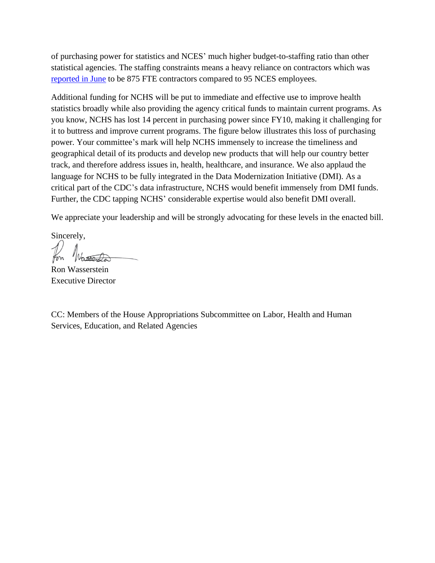of purchasing power for statistics and NCES' much higher budget-to-staffing ratio than other statistical agencies. The staffing constraints means a heavy reliance on contractors which was [reported in June](https://copafs.org/wp-content/uploads/2021/06/15.-Lynn-James-Woodworth-COPAFS-Jun-21.pdf) to be 875 FTE contractors compared to 95 NCES employees.

Additional funding for NCHS will be put to immediate and effective use to improve health statistics broadly while also providing the agency critical funds to maintain current programs. As you know, NCHS has lost 14 percent in purchasing power since FY10, making it challenging for it to buttress and improve current programs. The figure below illustrates this loss of purchasing power. Your committee's mark will help NCHS immensely to increase the timeliness and geographical detail of its products and develop new products that will help our country better track, and therefore address issues in, health, healthcare, and insurance. We also applaud the language for NCHS to be fully integrated in the Data Modernization Initiative (DMI). As a critical part of the CDC's data infrastructure, NCHS would benefit immensely from DMI funds. Further, the CDC tapping NCHS' considerable expertise would also benefit DMI overall.

We appreciate your leadership and will be strongly advocating for these levels in the enacted bill.

Sincerely,

Ron Wasserstein Executive Director

CC: Members of the House Appropriations Subcommittee on Labor, Health and Human Services, Education, and Related Agencies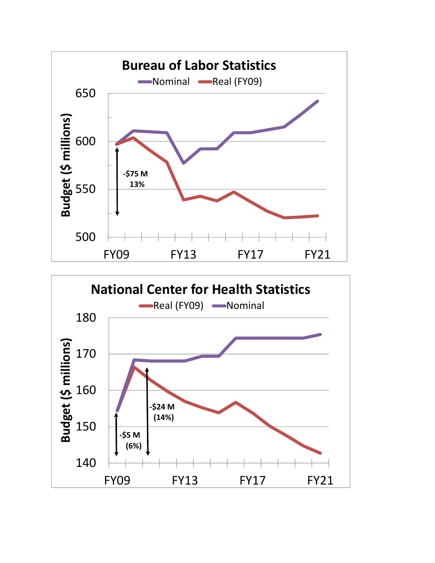